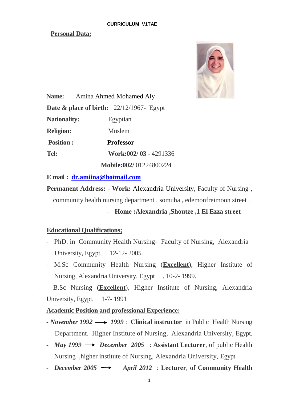#### **CURRICULUM V1TAE**

#### **Personal Data;**



**Name:** Amina Ahmed Mohamed Aly **Date & place of birth:** 22/12/1967- Egypt Nationality: Egyptian **Religion:** Moslem **Position : Professor Tel: Work:002/ 03 -** 4291336  **Mobile:002/** 01224800224

**E mail : [dr.amiina@hotmail.com](mailto:dr.amiina@hotmail.com)**

**Permanent Address: - Work:** Alexandria University, Faculty of Nursing , community health nursing department , somuha , edemonfreimoon street .

### **- Home :Alexandria ,Shoutze ,1 El Ezza street**

#### **Educational Qualifications;**

- PhD. in Community Health Nursing- Faculty of Nursing, Alexandria University, Egypt, 12-12- 2005.
- M.Sc Community Health Nursing (**Excellent**), Higher Institute of Nursing, Alexandria University, Egypt , 10-2- 1999.
- B.Sc Nursing (**Excellent**), Higher Institute of Nursing, Alexandria University, Egypt, 1-7- 1991
- **Academic Position and professional Experience:**
	- *November* 1992  $\longrightarrow$  1999: Clinical instructor in Public Health Nursing Department. Higher Institute of Nursing, Alexandria University, Egypt.
	- *May 1999 December 2005* : **Assistant Lecturer**, of public Health Nursing ,higher institute of Nursing, Alexandria University, Egypt.
	- *December 2005*  $\longrightarrow$  *April 2012* : Lecturer, of Community Health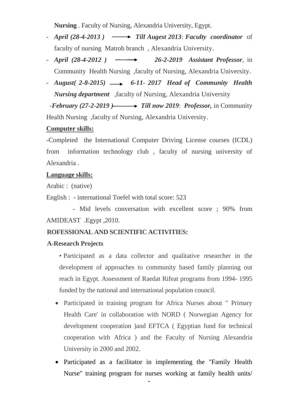**Nursing** . Faculty of Nursing, Alexandria University, Egypt.

- *April (28-4-2013 ) Till Augest 2013*: *Faculty coordinator* of faculty of nursing Matroh branch , Alexandria University.
- *April (28-4-2012 ) 26-2-2019 Assistant Professor*, in Community Health Nursing ,faculty of Nursing, Alexandria University.
- *August( 2-8-2015)**6-11- 2017 Head of Community Health Nursing department* , faculty of Nursing, Alexandria University

-*February (27-2-2019 ) Till now 2019*: *Professor,* in Community Health Nursing ,faculty of Nursing, Alexandria University.

## **Computer skills:**

-Completed the International Computer Driving License courses (ICDL) from information technology club , faculty of nursing university of Alexandria .

## **Language skills:**

Arabic : (native)

English : - international Toefel with total score: 523

 - Mid levels conversation with excellent score ; 90% from AMIDEAST .Egypt ,2010.

### **ROFESSIONAL AND SCIENTIFIC ACTIVITIES:**

### **A-Research Projects**

• Participated as a data collector and qualitative researcher in the development of approaches to community based family planning out reach in Egypt. Assessment of Raedat Rifeat programs from 1994- 1995 funded by the national and international population council.

- Participated in training program for Africa Nurses about " Primary Health Care' in collaboration with NORD ( Norwegian Agency for development cooperation )and EFTCA ( Egyptian fund for technical cooperation with Africa ) and the Faculty of Nursing Alexandria University in 2000 and 2002.
- Participated as a facilitator in implementing the "Family Health Nurse" training program for nurses working at family health units/

2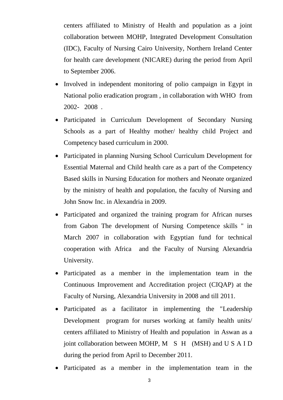centers affiliated to Ministry of Health and population as a joint collaboration between MOHP, Integrated Development Consultation (IDC), Faculty of Nursing Cairo University, Northern Ireland Center for health care development (NICARE) during the period from April to September 2006.

- Involved in independent monitoring of polio campaign in Egypt in National polio eradication program , in collaboration with WHO from 2002- 2008 .
- Participated in Curriculum Development of Secondary Nursing Schools as a part of Healthy mother/ healthy child Project and Competency based curriculum in 2000.
- Participated in planning Nursing School Curriculum Development for Essential Maternal and Child health care as a part of the Competency Based skills in Nursing Education for mothers and Neonate organized by the ministry of health and population, the faculty of Nursing and John Snow Inc. in Alexandria in 2009.
- Participated and organized the training program for African nurses from Gabon The development of Nursing Competence skills " in March 2007 in collaboration with Egyptian fund for technical cooperation with Africa and the Faculty of Nursing Alexandria University.
- Participated as a member in the implementation team in the Continuous Improvement and Accreditation project (CIQAP) at the Faculty of Nursing, Alexandria University in 2008 and till 2011.
- Participated as a facilitator in implementing the "Leadership Development program for nurses working at family health units/ centers affiliated to Ministry of Health and population in Aswan as a joint collaboration between MOHP, M S H (MSH) and U S A I D during the period from April to December 2011.
- Participated as a member in the implementation team in the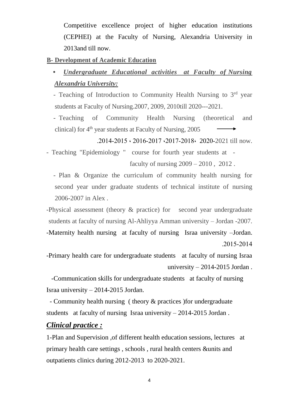Competitive excellence project of higher education institutions (CEPHEI) at the Faculty of Nursing, Alexandria University in 2013and till now.

#### **B- Development of Academic Education**

**•** *Undergraduate Educational activities at Faculty of Nursing Alexandria University:*

- Teaching of Introduction to Community Health Nursing to 3<sup>rd</sup> year students at Faculty of Nursing.2007, 2009, 2010till 2020---2021.

- Teaching of Community Health Nursing (theoretical and clinical) for  $4<sup>th</sup>$  year students at Faculty of Nursing, 2005

.2014-2015 ، 2016-2017 ،2017-2018، 2020-2021 till now.

- Teaching "Epidemiology " course for fourth year students at -

faculty of nursing 2009 – 2010 , 2012 .

- Plan & Organize the curriculum of community health nursing for second year under graduate students of technical institute of nursing 2006-2007 in Alex .

-Physical assessment (theory & practice) for second year undergraduate students at faculty of nursing Al-Ahliyya Amman university – Jordan -2007. -Maternity health nursing at faculty of nursing Israa university –Jordan. .2015-2014

-Primary health care for undergraduate students at faculty of nursing Israa university – 2014-2015 Jordan .

 -Communication skills for undergraduate students at faculty of nursing Israa university – 2014-2015 Jordan.

 - Community health nursing ( theory & practices )for undergraduate students at faculty of nursing Israa university – 2014-2015 Jordan .

# *Clinical practice :*

1-Plan and Supervision ,of different health education sessions, lectures at primary health care settings , schools , rural health centers &units and outpatients clinics during 2012-2013 to 2020-2021.

4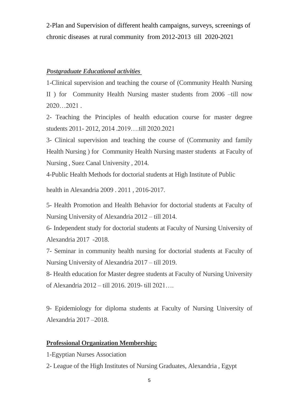2-Plan and Supervision of different health campaigns, surveys, screenings of chronic diseases at rural community from 2012-2013 till 2020-2021

## *Postgraduate Educational activities*

1-Clinical supervision and teaching the course of (Community Health Nursing II ) for Community Health Nursing master students from 2006 –till now 2020…2021 .

2- Teaching the Principles of health education course for master degree students 2011- 2012, 2014 .2019….till 2020.2021

3- Clinical supervision and teaching the course of (Community and family Health Nursing ) for Community Health Nursing master students at Faculty of Nursing , Suez Canal University , 2014.

4-Public Health Methods for doctorial students at High Institute of Public **.1**

health in Alexandria 2009 . 2011 , 2016-2017.

5- Health Promotion and Health Behavior for doctorial students at Faculty of Nursing University of Alexandria 2012 – till 2014.

6- Independent study for doctorial students at Faculty of Nursing University of Alexandria 2017 -2018.

7- Seminar in community health nursing for doctorial students at Faculty of Nursing University of Alexandria 2017 – till 2019.

8- Health education for Master degree students at Faculty of Nursing University of Alexandria 2012 – till 2016. 2019- till 2021….

9- Epidemiology for diploma students at Faculty of Nursing University of Alexandria 2017 –2018.

## **Professional Organization Membership:**

1-Egyptian Nurses Association

2- League of the High Institutes of Nursing Graduates, Alexandria , Egypt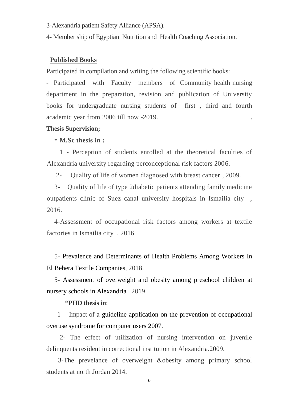3-Alexandria patient Safety Alliance (APSA).

4- Member ship of Egyptian Nutrition and Health Coaching Association.

### **Published Books**

Participated in compilation and writing the following scientific books:

- Participated with Faculty members of Community health nursing department in the preparation, revision and publication of University books for undergraduate nursing students of first , third and fourth academic year from 2006 till now -2019.

#### **Thesis Supervision;**

### **\* M.Sc thesis in :**

 1 - Perception of students enrolled at the theoretical faculties of Alexandria university regarding perconceptional risk factors 2006.

2- Quality of life of women diagnosed with breast cancer , 2009.

3- Quality of life of type 2diabetic patients attending family medicine outpatients clinic of Suez canal university hospitals in Ismailia city , 2016.

4-Assessment of occupational risk factors among workers at textile factories in Ismailia city , 2016.

5- Prevalence and Determinants of Health Problems Among Workers In El Behera Textile Companies, 2018.

5- Assessment of overweight and obesity among preschool children at nursery schools in Alexandria . 2019.

### \***PHD thesis in**:

 1- Impact of a guideline application on the prevention of occupational overuse syndrome for computer users 2007.

 2- The effect of utilization of nursing intervention on juvenile delinquents resident in correctional institution in Alexandria.2009.

 3-The prevelance of overweight &obesity among primary school students at north Jordan 2014.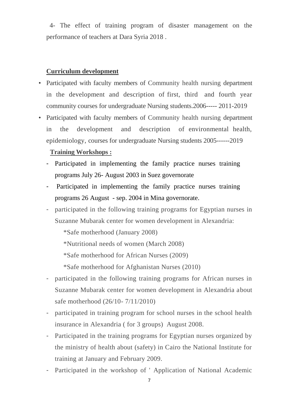4- The effect of training program of disaster management on the performance of teachers at Dara Syria 2018 .

## **Curriculum development**

- Participated with faculty members of Community health nursing department in the development and description of first, third and fourth year community courses for undergraduate Nursing students.2006----- 2011-2019
- Participated with faculty members of Community health nursing department in the development and description of environmental health, epidemiology, courses for undergraduate Nursing students 2005------2019

## **Training Workshops :**

- Participated in implementing the family practice nurses training programs July 26- August 2003 in Suez governorate
- Participated in implementing the family practice nurses training programs 26 August - sep. 2004 in Mina governorate.
- participated in the following training programs for Egyptian nurses in Suzanne Mubarak center for women development in Alexandria:

\*Safe motherhood (January 2008)

\*Nutritional needs of women (March 2008)

\*Safe motherhood for African Nurses (2009)

\*Safe motherhood for Afghanistan Nurses (2010)

- participated in the following training programs for African nurses in Suzanne Mubarak center for women development in Alexandria about safe motherhood (26/10- 7/11/2010)
- participated in training program for school nurses in the school health insurance in Alexandria ( for 3 groups) August 2008.
- Participated in the training programs for Egyptian nurses organized by the ministry of health about (safety) in Cairo the National Institute for training at January and February 2009.
- Participated in the workshop of ' Application of National Academic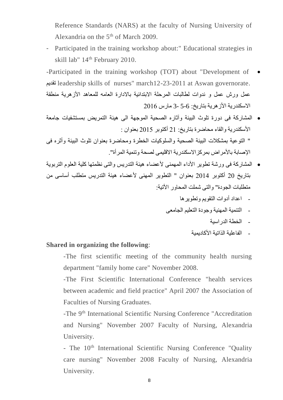Reference Standards (NARS) at the faculty of Nursing University of Alexandria on the  $5<sup>th</sup>$  of March 2009.

- Participated in the training workshop about:" Educational strategies in skill lab" 14<sup>th</sup> February 2010.

-Participated in the training workshop (TOT) about "Development of تقديم leadership skills of nurses" march12-23-2011 at Aswan governorate. عمل ورش عمل و ندوات لطالبات المرحلة الابتدائية بالادارة العامه للمعاهد الأزهرية منطقة  $1016$  الإسكندرية الأزهرية بتاريخ: 5-6 -3 مارس

- المشاركة فى دورة تلوث البيئة وآثاره الصحية الموجهة الى هيئة التمريض بمستشفيات جامعة األسكندرية والقاء محاضرة بتاريخ: 21 أكتوبر 2015 بعنوان : " التوعية بمشكالت البيئة الصحية والسلوكيات الخطرة ومحاضرة بعنوان تلوث البيئة وأثره فى الإصابة بالأمر اض بمركز الاسكندر بة الاقليمى لصحة وتنمية المر أة".
- المشاركة فى ورشة تطوير الأداء المهمنى لأعضاء هيئة التدريس والتى نظمتها كلية العلوم التربوية بتاريخ 20 أكتوبر 2014 بعنوان " التطوير المهنى ألعضاء هيئة التدريس متطلب أساسى من متطلبات الجودة" والتي شملت المحاور الأتبة:
	- اعداد أدوات التقويم وتطويرها
	- التنمية المهنية وجودة التعليم الجامعى
		- الخطة الدراسية
		- الفاعلية الذاتية الأكاديمية

### **Shared in organizing the following**:

-The first scientific meeting of the community health nursing department "family home care" November 2008.

-The First Scientific International Conference "health services between academic and field practice" April 2007 the Association of Faculties of Nursing Graduates.

-The 9<sup>th</sup> International Scientific Nursing Conference "Accreditation and Nursing" November 2007 Faculty of Nursing, Alexandria University.

- The 10<sup>th</sup> International Scientific Nursing Conference "Quality care nursing" November 2008 Faculty of Nursing, Alexandria University.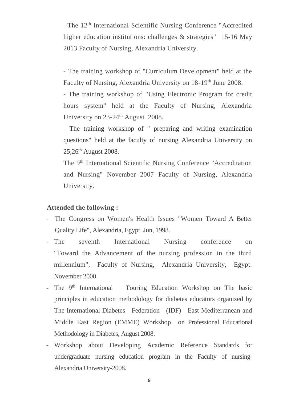-The 12<sup>th</sup> International Scientific Nursing Conference "Accredited higher education institutions: challenges & strategies" 15-16 May 2013 Faculty of Nursing, Alexandria University.

- The training workshop of "Curriculum Development" held at the Faculty of Nursing, Alexandria University on 18-19<sup>th</sup> June 2008.

- The training workshop of "Using Electronic Program for credit hours system" held at the Faculty of Nursing, Alexandria University on 23-24<sup>th</sup> August 2008.

- The training workshop of " preparing and writing examination questions" held at the faculty of nursing Alexandria University on 25,26<sup>th</sup> August 2008.

The 9th International Scientific Nursing Conference "Accreditation and Nursing" November 2007 Faculty of Nursing, Alexandria University.

## **Attended the following :**

- The Congress on Women's Health Issues "Women Toward A Better Quality Life", Alexandria, Egypt. Jun, 1998.
- The seventh International Nursing conference on "Toward the Advancement of the nursing profession in the third millennium", Faculty of Nursing, Alexandria University, Egypt. November 2000.
- The 9<sup>th</sup> International Touring Education Workshop on The basic principles in education methodology for diabetes educators organized by The International Diabetes Federation (IDF) East Mediterranean and Middle East Region (EMME) Workshop on Professional Educational Methodology in Diabetes, August 2008.
- Workshop about Developing Academic Reference Standards for undergraduate nursing education program in the Faculty of nursing-Alexandria University-2008.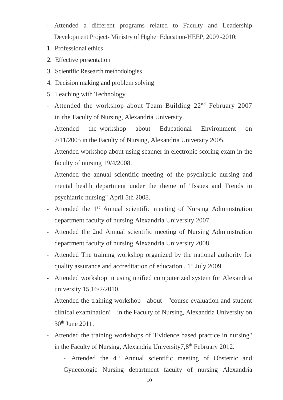- Attended a different programs related to Faculty and Leadership Development Project- Ministry of Higher Education-HEEP, 2009 -2010:
- 1. Professional ethics
- 2. Effective presentation
- 3. Scientific Research methodologies
- 4. Decision making and problem solving
- 5. Teaching with Technology
- Attended the workshop about Team Building 22<sup>nd</sup> February 2007 in the Faculty of Nursing, Alexandria University.
- Attended the workshop about Educational Environment on 7/11/2005 in the Faculty of Nursing, Alexandria University 2005.
- Attended workshop about using scanner in electronic scoring exam in the faculty of nursing 19/4/2008.
- Attended the annual scientific meeting of the psychiatric nursing and mental health department under the theme of "Issues and Trends in psychiatric nursing" April 5th 2008.
- Attended the 1<sup>st</sup> Annual scientific meeting of Nursing Administration department faculty of nursing Alexandria University 2007.
- Attended the 2nd Annual scientific meeting of Nursing Administration department faculty of nursing Alexandria University 2008.
- Attended The training workshop organized by the national authority for quality assurance and accreditation of education, 1<sup>st</sup> July 2009
- Attended workshop in using unified computerized system for Alexandria university 15,16/2/2010.
- Attended the training workshop about "course evaluation and student clinical examination" in the Faculty of Nursing, Alexandria University on 30<sup>th</sup> June 2011.
- Attended the training workshops of 'Evidence based practice in nursing" in the Faculty of Nursing, Alexandria University7,8<sup>th</sup> February 2012.
	- Attended the 4<sup>th</sup> Annual scientific meeting of Obstetric and Gynecologic Nursing department faculty of nursing Alexandria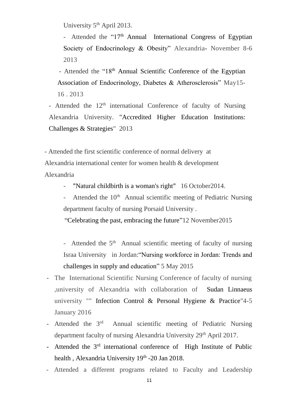University 5<sup>th</sup> April 2013.

- Attended the "17<sup>th</sup> Annual International Congress of Egyptian Society of Endocrinology & Obesity" Alexandria- November 8-6 2013

- Attended the "18<sup>th</sup> Annual Scientific Conference of the Egyptian Association of Endocrinology, Diabetes & Atherosclerosis" May15- 16 . 2013

- Attended the  $12<sup>th</sup>$  international Conference of faculty of Nursing Alexandria University. "Accredited Higher Education Institutions: Challenges & Strategies" 2013

- Attended the first scientific conference of normal delivery at

Alexandria international center for women health & development

Alexandria

- "Natural childbirth is a woman's right" 16 October 2014.
- Attended the 10<sup>th</sup> Annual scientific meeting of Pediatric Nursing department faculty of nursing Porsaid University .

"Celebrating the past, embracing the future"12 November2015

- Attended the 5<sup>th</sup> Annual scientific meeting of faculty of nursing Israa University in Jordan:"Nursing workforce in Jordan: Trends and challenges in supply and education" 5 May 2015
- The International Scientific Nursing Conference of faculty of nursing ,university of Alexandria with collaboration of Sudan Linnaeus university "" Infection Control & Personal Hygiene & Practice"4-5 January 2016
- Attended the 3<sup>rd</sup> Annual scientific meeting of Pediatric Nursing department faculty of nursing Alexandria University 29<sup>th</sup> April 2017.
- Attended the 3<sup>rd</sup> international conference of High Institute of Public health, Alexandria University 19<sup>th</sup> -20 Jan 2018.
- Attended a different programs related to Faculty and Leadership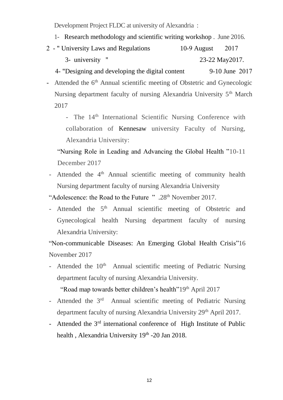Development Project FLDC at university of Alexandria :

- 1- Research methodology and scientific writing workshop . June 2016.
- 2 " University Laws and Regulations 10-9 August 2017 3- university " 23-22 May2017.
	- 4- "Designing and developing the digital content 9-10 June 2017
- Attended the  $6<sup>th</sup>$  Annual scientific meeting of Obstetric and Gynecologic Nursing department faculty of nursing Alexandria University 5<sup>th</sup> March 2017

- The 14<sup>th</sup> International Scientific Nursing Conference with collaboration of Kennesaw university Faculty of Nursing, Alexandria University:

"Nursing Role in Leading and Advancing the Global Health "10-11 December 2017

- Attended the  $4<sup>th</sup>$  Annual scientific meeting of community health Nursing department faculty of nursing Alexandria University

"Adolescence: the Road to the Future " .28<sup>th</sup> November 2017.

- Attended the  $5<sup>th</sup>$  Annual scientific meeting of Obstetric and Gynecological health Nursing department faculty of nursing Alexandria University:

"Non-communicable Diseases: An Emerging Global Health Crisis"16 November 2017

- Attended the 10<sup>th</sup> Annual scientific meeting of Pediatric Nursing department faculty of nursing Alexandria University.

"Road map towards better children's health"<sup>19th</sup> April 2017

- Attended the 3<sup>rd</sup> Annual scientific meeting of Pediatric Nursing department faculty of nursing Alexandria University 29<sup>th</sup> April 2017.
- Attended the 3<sup>rd</sup> international conference of High Institute of Public health, Alexandria University 19<sup>th</sup> -20 Jan 2018.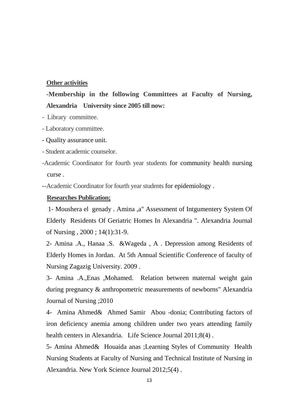### **Other activities**

**-Membership in the following Committees at Faculty of Nursing, Alexandria University since 2005 till now:** 

- Library committee.

- Laboratory committee.

- Quality assurance unit.

- Student academic counselor.

-Academic Coordinator for fourth year students for community health nursing curse .

--Academic Coordinator for fourth year students for epidemiology .

## **Researches Publication;**

1- Moushera el genady . Amina ,a" Assessment of Intgumentery System Of Elderly Residents Of Geriatric Homes In Alexandria ". Alexandria Journal of Nursing , 2000 ; 14(1):31-9.

2- Amina .A., Hanaa .S. &Wageda , A . Depression among Residents of Elderly Homes in Jordan. At 5th Annual Scientific Conference of faculty of Nursing Zagazig University. 2009 .

3- Amina .A.,Enas ,Mohamed. Relation between maternal weight gain during pregnancy & anthropometric measurements of newborns" Alexandria Journal of Nursing ;2010

4- Amina Ahmed& Ahmed Samir Abou -donia; Contributing factors of iron deficiency anemia among children under two years attending family health centers in Alexandria. Life Science Journal 2011;8(4).

5- Amina Ahmed& Houaida anas ;Learning Styles of Community Health Nursing Students at Faculty of Nursing and Technical Institute of Nursing in Alexandria. New York Science Journal 2012;5(4) .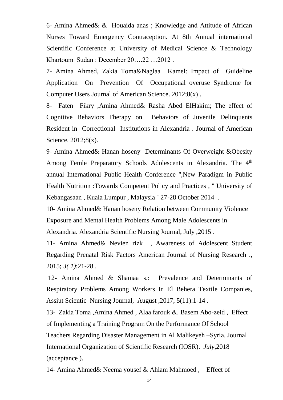6- Amina Ahmed& & Houaida anas ; Knowledge and Attitude of African Nurses Toward Emergency Contraception. At 8th Annual international Scientific Conference at University of Medical Science & Technology Khartoum Sudan : December 20….22 …2012 .

7- Amina Ahmed, Zakia Toma&Naglaa Kamel: Impact of Guideline Application On Prevention Of Occupational overuse Syndrome for Computer Users Journal of American Science. 2012;8(x) .

8- Faten Fikry ,Amina Ahmed& Rasha Abed ElHakim; The effect of Cognitive Behaviors Therapy on Behaviors of Juvenile Delinquents Resident in Correctional Institutions in Alexandria . Journal of American Science. 2012;8(x).

9- Amina Ahmed& Hanan hoseny Determinants Of Overweight &Obesity Among Femle Preparatory Schools Adolescents in Alexandria. The 4<sup>th</sup> annual International Public Health Conference '',New Paradigm in Public Health Nutrition :Towards Competent Policy and Practices , '' University of Kebangasaan , Kuala Lumpur , Malaysia ` 27-28 October 2014 .

10- Amina Ahmed& Hanan hoseny Relation between Community Violence Exposure and Mental Health Problems Among Male Adolescents in Alexandria. Alexandria Scientific Nursing Journal, July ,2015 .

11- Amina Ahmed& Nevien rizk , Awareness of Adolescent Student Regarding Prenatal Risk Factors American Journal of Nursing Research ., 2015; *3( 1)*:21-28 .

12- Amina Ahmed & Shamaa s.: Prevalence and Determinants of Respiratory Problems Among Workers In El Behera Textile Companies, Assiut Scientic Nursing Journal, August , 2017; 5(11):1-14.

13- Zakia Toma ,Amina Ahmed , Alaa farouk &. Basem Abo-zeid , Effect of Implementing a Training Program On the Performance Of School Teachers Regarding Disaster Management in Al Malikeyeh –Syria. Journal International Organization of Scientific Research (IOSR). *July*,2018 (acceptance ).

14- Amina Ahmed& Neema yousef & Ahlam Mahmoed , Effect of

14